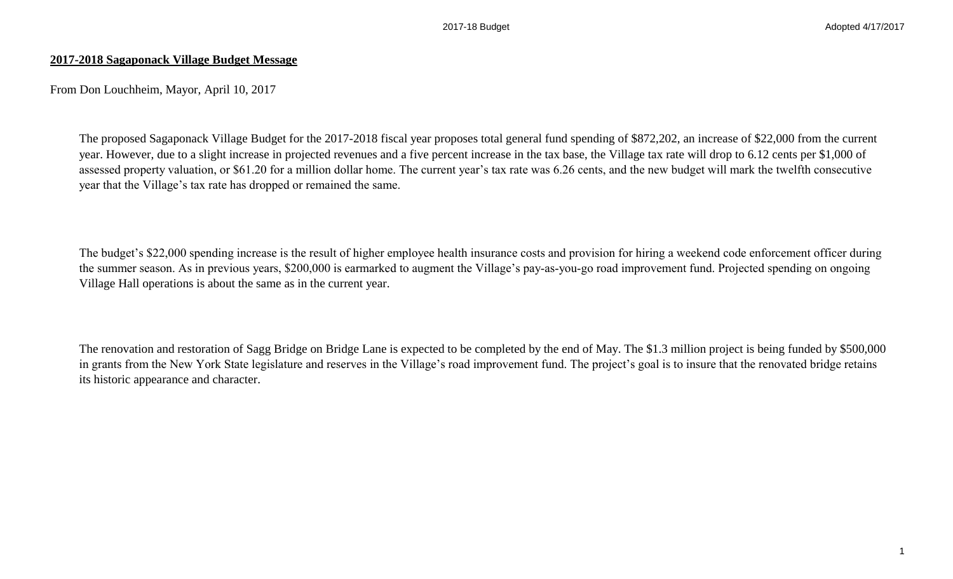## **2017-2018 Sagaponack Village Budget Message**

From Don Louchheim, Mayor, April 10, 2017

The proposed Sagaponack Village Budget for the 2017-2018 fiscal year proposes total general fund spending of \$872,202, an increase of \$22,000 from the current year. However, due to a slight increase in projected revenues and a five percent increase in the tax base, the Village tax rate will drop to 6.12 cents per \$1,000 of assessed property valuation, or \$61.20 for a million dollar home. The current year's tax rate was 6.26 cents, and the new budget will mark the twelfth consecutive year that the Village's tax rate has dropped or remained the same.

The budget's \$22,000 spending increase is the result of higher employee health insurance costs and provision for hiring a weekend code enforcement officer during the summer season. As in previous years, \$200,000 is earmarked to augment the Village's pay-as-you-go road improvement fund. Projected spending on ongoing Village Hall operations is about the same as in the current year.

The renovation and restoration of Sagg Bridge on Bridge Lane is expected to be completed by the end of May. The \$1.3 million project is being funded by \$500,000 in grants from the New York State legislature and reserves in the Village's road improvement fund. The project's goal is to insure that the renovated bridge retains its historic appearance and character.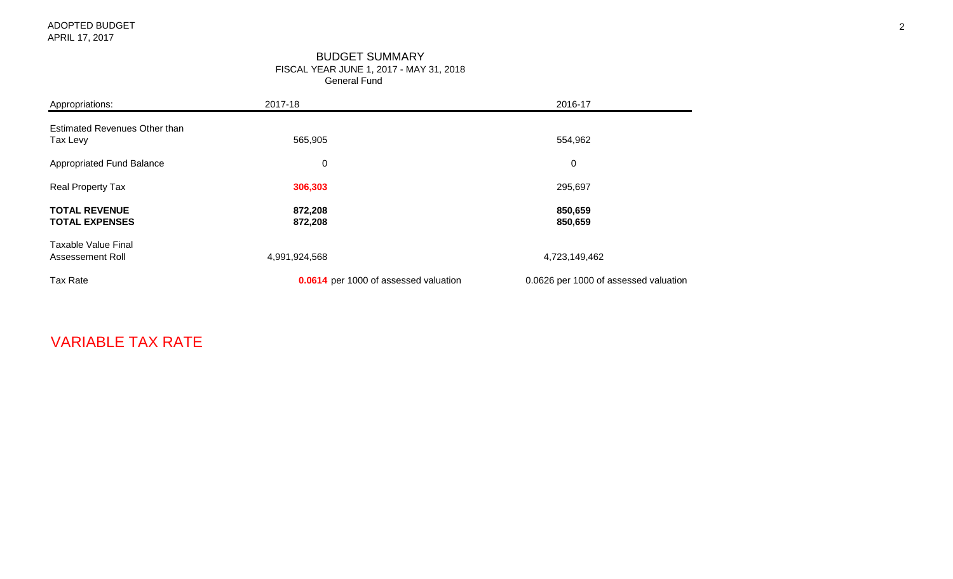#### General Fund BUDGET SUMMARY FISCAL YEAR JUNE 1, 2017 - MAY 31, 2018

| Appropriations:                                | 2017-18                               | 2016-17                               |
|------------------------------------------------|---------------------------------------|---------------------------------------|
| Estimated Revenues Other than<br>Tax Levy      | 565,905                               | 554,962                               |
| Appropriated Fund Balance                      | $\pmb{0}$                             | 0                                     |
| <b>Real Property Tax</b>                       | 306,303                               | 295,697                               |
| <b>TOTAL REVENUE</b><br><b>TOTAL EXPENSES</b>  | 872,208<br>872,208                    | 850,659<br>850,659                    |
| <b>Taxable Value Final</b><br>Assessement Roll | 4,991,924,568                         | 4,723,149,462                         |
| Tax Rate                                       | 0.0614 per 1000 of assessed valuation | 0.0626 per 1000 of assessed valuation |

# VARIABLE TAX RATE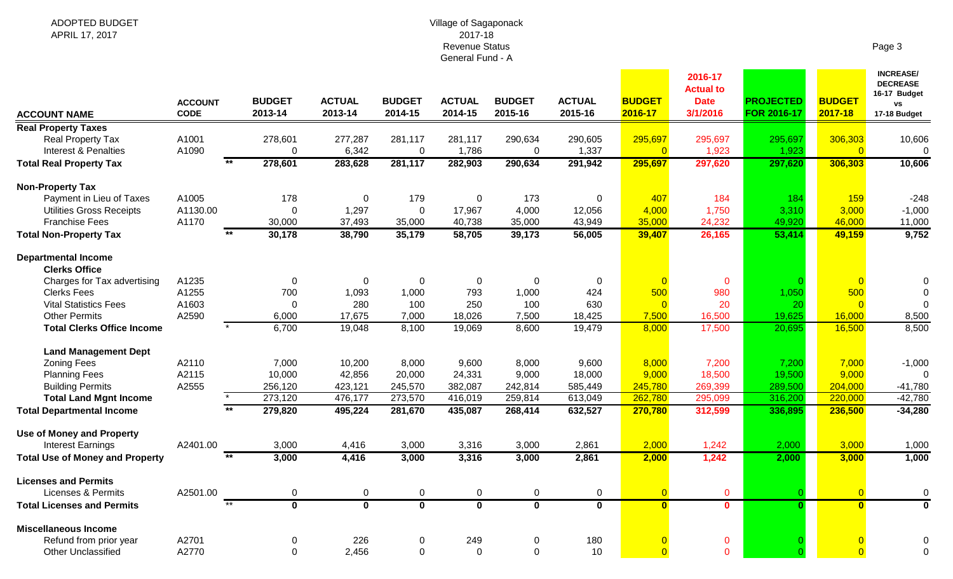#### Village of Sagaponack 2017-18 Revenue Status General Fund - A

| me<br>я |  |
|---------|--|
|---------|--|

**INCREASE/** 

| <b>ACCOUNT NAME</b>                                  | <b>ACCOUNT</b><br><b>CODE</b> | <b>BUDGET</b><br>2013-14 | <b>ACTUAL</b><br>2013-14 | <b>BUDGET</b><br>2014-15 | <b>ACTUAL</b><br>2014-15 | <b>BUDGET</b><br>2015-16 | <b>ACTUAL</b><br>2015-16 | <b>BUDGET</b><br>2016-17 | 2016-17<br><b>Actual to</b><br><b>Date</b><br>3/1/2016 | <b>PROJECTED</b><br>FOR 2016-17 | <b>BUDGET</b><br>2017-18  | <b>INCREASE/</b><br><b>DECREASE</b><br>16-17 Budget<br><b>vs</b><br>17-18 Budget |
|------------------------------------------------------|-------------------------------|--------------------------|--------------------------|--------------------------|--------------------------|--------------------------|--------------------------|--------------------------|--------------------------------------------------------|---------------------------------|---------------------------|----------------------------------------------------------------------------------|
| <b>Real Property Taxes</b>                           |                               |                          |                          |                          |                          |                          |                          |                          |                                                        |                                 |                           |                                                                                  |
| Real Property Tax<br><b>Interest &amp; Penalties</b> | A1001<br>A1090                | 278,601<br>0             | 277,287<br>6,342         | 281,117<br>$\mathbf 0$   | 281,117<br>1,786         | 290,634<br>$\mathbf 0$   | 290,605<br>1,337         | 295,697<br>$\Omega$      | 295,697<br>1,923                                       | 295,697<br>1,923                | 306,303<br>$\overline{0}$ | 10,606<br>$\boldsymbol{0}$                                                       |
| <b>Total Real Property Tax</b>                       | $**$                          | 278,601                  | 283,628                  | 281,117                  | 282,903                  | 290,634                  | 291,942                  | 295,697                  | 297,620                                                | 297,620                         | 306,303                   | 10,606                                                                           |
| <b>Non-Property Tax</b>                              |                               |                          |                          |                          |                          |                          |                          |                          |                                                        |                                 |                           |                                                                                  |
| Payment in Lieu of Taxes                             | A1005                         | 178                      | $\Omega$                 | 179                      | $\mathbf 0$              | 173                      | $\Omega$                 | 407                      | 184                                                    | 184                             | 159                       | $-248$                                                                           |
| <b>Utilities Gross Receipts</b>                      | A1130.00                      | 0                        | 1,297                    | $\mathbf 0$              | 17,967                   | 4,000                    | 12,056                   | 4,000                    | 1,750                                                  | 3,310                           | 3,000                     | $-1,000$                                                                         |
| <b>Franchise Fees</b>                                | A1170                         | 30,000                   | 37,493                   | 35,000                   | 40,738                   | 35,000                   | 43,949                   | 35,000                   | 24,232                                                 | 49,920                          | 46,000                    | 11,000                                                                           |
| <b>Total Non-Property Tax</b>                        |                               | 30,178                   | 38,790                   | 35,179                   | 58,705                   | 39,173                   | 56,005                   | 39,407                   | 26,165                                                 | 53,414                          | 49,159                    | 9,752                                                                            |
| <b>Departmental Income</b><br><b>Clerks Office</b>   |                               |                          |                          |                          |                          |                          |                          |                          |                                                        |                                 |                           |                                                                                  |
| Charges for Tax advertising                          | A1235                         | 0                        | $\Omega$                 | 0                        | $\mathbf 0$              | $\mathbf 0$              | $\mathbf 0$              |                          | $\mathbf 0$                                            |                                 | $\overline{0}$            | 0                                                                                |
| <b>Clerks Fees</b>                                   | A1255                         | 700                      | 1,093                    | 1,000                    | 793                      | 1,000                    | 424                      | 500                      | 980                                                    | 1,050                           | 500                       |                                                                                  |
| <b>Vital Statistics Fees</b>                         | A1603                         | 0                        | 280                      | 100                      | 250                      | 100                      | 630                      | $\Omega$                 | 20                                                     | 20                              | $\Omega$                  | $\Omega$                                                                         |
| <b>Other Permits</b>                                 | A2590                         | 6,000                    | 17,675                   | 7,000                    | 18,026                   | 7,500                    | 18,425                   | 7,500                    | 16,500                                                 | 19,625                          | 16,000                    | 8,500                                                                            |
| <b>Total Clerks Office Income</b>                    |                               | 6,700                    | 19,048                   | 8,100                    | 19,069                   | 8,600                    | 19,479                   | 8,000                    | 17,500                                                 | 20,695                          | 16,500                    | 8,500                                                                            |
| <b>Land Management Dept</b>                          |                               |                          |                          |                          |                          |                          |                          |                          |                                                        |                                 |                           |                                                                                  |
| <b>Zoning Fees</b>                                   | A2110                         | 7,000                    | 10,200                   | 8,000                    | 9,600                    | 8,000                    | 9,600                    | 8,000                    | 7,200                                                  | 7,200                           | 7,000                     | $-1,000$                                                                         |
| <b>Planning Fees</b>                                 | A2115                         | 10,000                   | 42,856                   | 20,000                   | 24,331                   | 9,000                    | 18,000                   | 9,000                    | 18,500                                                 | 19,500                          | 9,000                     | $\Omega$                                                                         |
| <b>Building Permits</b>                              | A2555                         | 256,120                  | 423,121                  | 245,570                  | 382,087                  | 242,814                  | 585,449                  | 245,780                  | 269,399                                                | 289,500                         | 204,000                   | $-41,780$                                                                        |
| <b>Total Land Mgnt Income</b>                        |                               | 273,120                  | 476,177                  | 273,570                  | 416,019                  | 259,814                  | 613,049                  | 262,780                  | 295,099                                                | 316,200                         | 220,000                   | $-42,780$                                                                        |
| <b>Total Departmental Income</b>                     |                               | 279,820                  | 495,224                  | 281,670                  | 435,087                  | 268,414                  | 632,527                  | 270,780                  | 312,599                                                | 336,895                         | 236,500                   | $-34,280$                                                                        |
| <b>Use of Money and Property</b>                     |                               |                          |                          |                          |                          |                          |                          |                          |                                                        |                                 |                           |                                                                                  |
| <b>Interest Earnings</b>                             | A2401.00                      | 3,000                    | 4,416                    | 3,000                    | 3,316                    | 3,000                    | 2,861                    | 2,000                    | 1,242                                                  | 2,000                           | 3,000                     | 1,000                                                                            |
| <b>Total Use of Money and Property</b>               | $***$                         | 3,000                    | 4,416                    | 3,000                    | 3,316                    | 3,000                    | 2,861                    | 2,000                    | 1,242                                                  | 2,000                           | 3,000                     | 1,000                                                                            |
| <b>Licenses and Permits</b>                          |                               |                          |                          |                          |                          |                          |                          |                          |                                                        |                                 |                           |                                                                                  |
| <b>Licenses &amp; Permits</b>                        | A2501.00                      | 0                        | 0                        | 0                        | 0                        | 0                        | 0                        |                          | $\mathbf 0$                                            |                                 | $\overline{0}$            | 0                                                                                |
| <b>Total Licenses and Permits</b>                    | $*$                           | $\Omega$                 | $\overline{0}$           | $\overline{\mathbf{0}}$  | $\overline{\mathbf{0}}$  | $\mathbf 0$              | $\mathbf 0$              | $\Omega$                 | $\mathbf{0}$                                           | $\Omega$                        | $\overline{\mathbf{0}}$   | $\mathbf 0$                                                                      |
| <b>Miscellaneous Income</b>                          |                               |                          |                          |                          |                          |                          |                          |                          |                                                        |                                 |                           |                                                                                  |
| Refund from prior year                               | A2701                         | 0                        | 226                      | 0                        | 249                      | $\mathbf 0$              | 180                      |                          | $\mathbf 0$                                            |                                 |                           | 0                                                                                |
| <b>Other Unclassified</b>                            | A2770                         | $\Omega$                 | 2,456                    | $\Omega$                 | $\Omega$                 | $\Omega$                 | 10                       |                          | $\mathbf{0}$                                           |                                 | $\Omega$                  | 0                                                                                |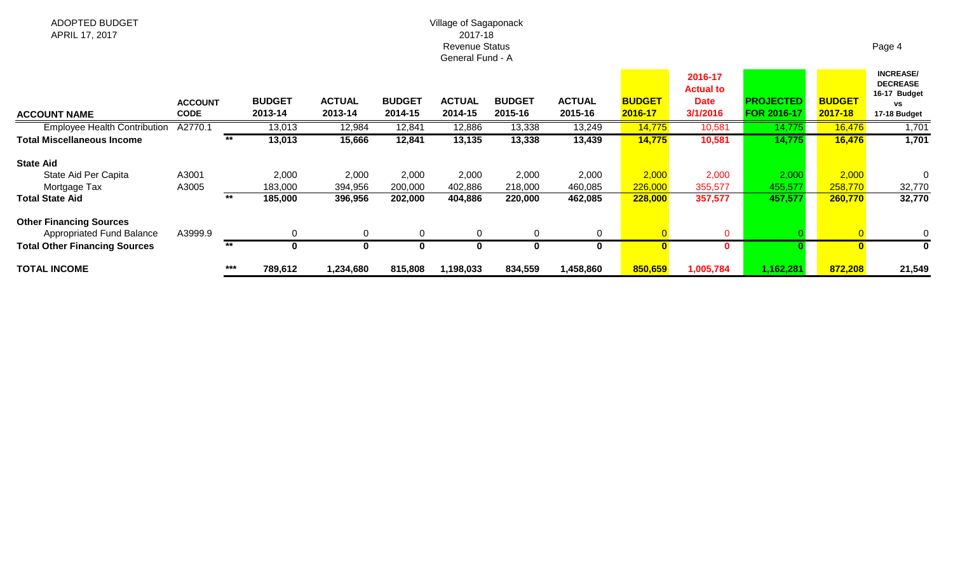#### Village of Sagaponack 2017-18 Revenue Status General Fund - A

| <b>ACCOUNT NAME</b>                  | <b>ACCOUNT</b><br><b>CODE</b> |       | <b>BUDGET</b><br>2013-14 | <b>ACTUAL</b><br>2013-14 | <b>BUDGET</b><br>2014-15 | <b>ACTUAL</b><br>2014-15 | <b>BUDGET</b><br>2015-16 | <b>ACTUAL</b><br>2015-16 | <b>BUDGET</b><br>2016-17 | 2016-17<br><b>Actual to</b><br><b>Date</b><br>3/1/2016 | <b>PROJECTED</b><br><b>FOR 2016-17</b> | <b>BUDGET</b><br>2017-18 | <b>INCREASE/</b><br><b>DECREASE</b><br>16-17 Budget<br>٧S<br>17-18 Budget |
|--------------------------------------|-------------------------------|-------|--------------------------|--------------------------|--------------------------|--------------------------|--------------------------|--------------------------|--------------------------|--------------------------------------------------------|----------------------------------------|--------------------------|---------------------------------------------------------------------------|
| <b>Employee Health Contribution</b>  | A2770.1                       |       | 13,013                   | 12,984                   | 12,841                   | 12,886                   | 13,338                   | 13,249                   | 14,775                   | 10,581                                                 | 14,775                                 | 16,476                   | 1,701                                                                     |
| <b>Total Miscellaneous Income</b>    |                               | $***$ | 13,013                   | 15,666                   | 12,841                   | 13,135                   | 13,338                   | 13,439                   | 14,775                   | 10,581                                                 | 14,775                                 | 16,476                   | 1,701                                                                     |
| <b>State Aid</b>                     |                               |       |                          |                          |                          |                          |                          |                          |                          |                                                        |                                        |                          |                                                                           |
| State Aid Per Capita                 | A3001                         |       | 2,000                    | 2,000                    | 2,000                    | 2,000                    | 2,000                    | 2,000                    | 2,000                    | 2,000                                                  | 2,000                                  | 2,000                    |                                                                           |
| Mortgage Tax                         | A3005                         |       | 183,000                  | 394,956                  | 200,000                  | 402,886                  | 218,000                  | 460,085                  | 226,000                  | 355,577                                                | 455,577                                | 258,770                  | 32,770                                                                    |
| Total State Aid                      |                               | $***$ | 185,000                  | 396,956                  | 202,000                  | 404,886                  | 220,000                  | 462,085                  | 228,000                  | 357,577                                                | 457,577                                | 260,770                  | 32,770                                                                    |
| <b>Other Financing Sources</b>       |                               |       |                          |                          |                          |                          |                          |                          |                          |                                                        |                                        |                          |                                                                           |
| <b>Appropriated Fund Balance</b>     | A3999.9                       |       | $\Omega$                 | $\Omega$                 | 0                        |                          | $\Omega$                 | $\Omega$                 |                          | $\Omega$                                               |                                        |                          | 0                                                                         |
| <b>Total Other Financing Sources</b> |                               | $***$ | $\bf{0}$                 | $\bf{0}$                 |                          |                          | $\Omega$                 |                          |                          | 0                                                      |                                        |                          |                                                                           |
| TOTAL INCOME                         |                               | $***$ | 789,612                  | 1,234,680                | 815,808                  | 1,198,033                | 834,559                  | 1,458,860                | 850,659                  | 1,005,784                                              | 1,162,281                              | 872,208                  | 21,549                                                                    |

### Page 4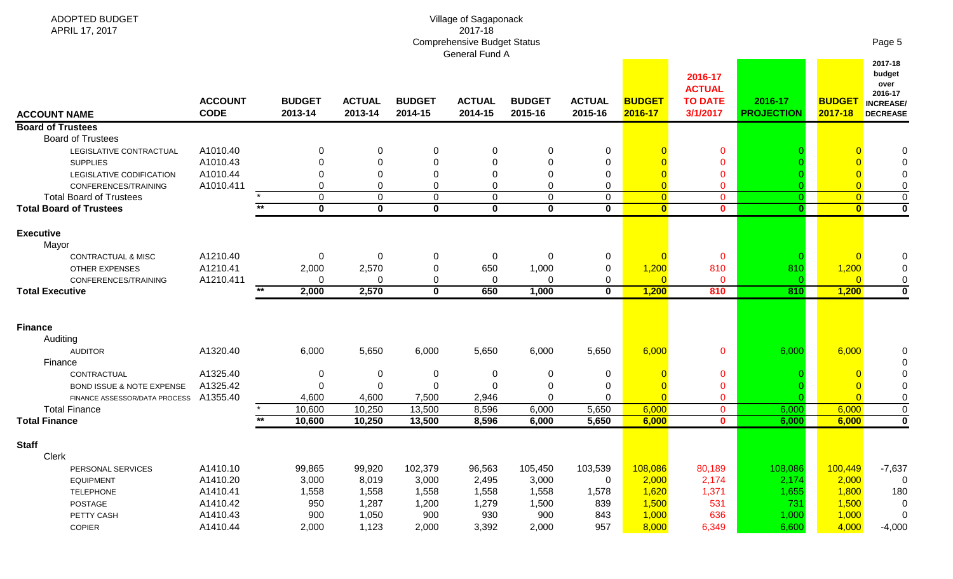| ADOPTED BUDGET<br>APRIL 17, 2017                      |                               |                          |                          |                          | Village of Sagaponack<br>2017-18<br><b>Comprehensive Budget Status</b><br>General Fund A |                          |                          |                          |                                                        |                              |                          | Page 5                                                                      |
|-------------------------------------------------------|-------------------------------|--------------------------|--------------------------|--------------------------|------------------------------------------------------------------------------------------|--------------------------|--------------------------|--------------------------|--------------------------------------------------------|------------------------------|--------------------------|-----------------------------------------------------------------------------|
| <b>ACCOUNT NAME</b>                                   | <b>ACCOUNT</b><br><b>CODE</b> | <b>BUDGET</b><br>2013-14 | <b>ACTUAL</b><br>2013-14 | <b>BUDGET</b><br>2014-15 | <b>ACTUAL</b><br>2014-15                                                                 | <b>BUDGET</b><br>2015-16 | <b>ACTUAL</b><br>2015-16 | <b>BUDGET</b><br>2016-17 | 2016-17<br><b>ACTUAL</b><br><b>TO DATE</b><br>3/1/2017 | 2016-17<br><b>PROJECTION</b> | <b>BUDGET</b><br>2017-18 | 2017-18<br>budget<br>over<br>2016-17<br><b>INCREASE/</b><br><b>DECREASE</b> |
| <b>Board of Trustees</b>                              |                               |                          |                          |                          |                                                                                          |                          |                          |                          |                                                        |                              |                          |                                                                             |
| <b>Board of Trustees</b>                              |                               |                          |                          |                          |                                                                                          |                          |                          |                          |                                                        |                              |                          |                                                                             |
| LEGISLATIVE CONTRACTUAL                               | A1010.40                      |                          | 0                        |                          | 0                                                                                        | 0                        | 0                        |                          | $\mathbf 0$                                            |                              |                          |                                                                             |
| <b>SUPPLIES</b>                                       | A1010.43                      |                          | $\Omega$                 | 0                        | $\Omega$                                                                                 | $\Omega$                 | $\Omega$                 |                          | $\Omega$                                               |                              |                          |                                                                             |
| LEGISLATIVE CODIFICATION                              | A1010.44                      |                          | 0                        | 0                        | $\Omega$                                                                                 | $\Omega$                 | $\Omega$                 |                          | $\mathbf 0$                                            |                              |                          |                                                                             |
| CONFERENCES/TRAINING                                  | A1010.411                     | $\Omega$                 | $\Omega$                 | $\Omega$                 | 0                                                                                        | $\Omega$                 | $\Omega$                 | $\overline{0}$           | $\overline{0}$                                         |                              | $\overline{0}$           |                                                                             |
| <b>Total Board of Trustees</b>                        |                               | $\mathbf 0$              | $\mathbf 0$              | 0                        | $\mathbf 0$                                                                              | $\Omega$                 | $\Omega$                 | $\overline{0}$           | $\mathbf{0}$                                           |                              | $\overline{0}$           | $\mathsf 0$                                                                 |
| <b>Total Board of Trustees</b>                        |                               | $\overline{\mathbf{0}}$  | $\overline{\mathbf{0}}$  | $\mathbf 0$              | $\overline{\mathbf{0}}$                                                                  | $\mathbf 0$              | $\mathbf 0$              | $\overline{\mathbf{0}}$  | $\mathbf{0}$                                           | $\mathbf{0}$                 | $\overline{\mathbf{0}}$  | $\overline{\mathbf{0}}$                                                     |
| <b>Executive</b><br>Mayor                             |                               |                          |                          |                          |                                                                                          |                          |                          |                          |                                                        |                              |                          |                                                                             |
| CONTRACTUAL & MISC                                    | A1210.40                      | 0                        | 0                        | 0                        | 0                                                                                        | 0                        | 0                        | $\overline{0}$           | $\mathbf 0$                                            |                              | $\Omega$                 |                                                                             |
| <b>OTHER EXPENSES</b>                                 | A1210.41                      | 2,000                    | 2,570                    | 0                        | 650                                                                                      | 1,000                    | 0                        | 1,200                    | 810                                                    | 810                          | 1,200                    | 0                                                                           |
| CONFERENCES/TRAINING                                  | A1210.411                     | $\Omega$<br>$***$        | $\Omega$                 | 0                        | 0                                                                                        | $\Omega$                 | $\Omega$                 | $\overline{0}$           | $\mathbf 0$                                            |                              | $\Omega$                 | $\pmb{0}$                                                                   |
| <b>Total Executive</b>                                |                               | 2,000                    | 2,570                    | $\bf{0}$                 | 650                                                                                      | 1,000                    | $\mathbf 0$              | 1,200                    | 810                                                    | 810                          | 1,200                    | $\mathbf 0$                                                                 |
|                                                       |                               |                          |                          |                          |                                                                                          |                          |                          |                          |                                                        |                              |                          |                                                                             |
| <b>Finance</b>                                        |                               |                          |                          |                          |                                                                                          |                          |                          |                          |                                                        |                              |                          |                                                                             |
| Auditing                                              |                               |                          |                          |                          |                                                                                          |                          |                          |                          |                                                        |                              |                          |                                                                             |
| <b>AUDITOR</b>                                        | A1320.40                      | 6,000                    | 5,650                    | 6,000                    | 5,650                                                                                    | 6,000                    | 5,650                    | 6,000                    | $\mathbf{0}$                                           | 6,000                        | 6,000                    |                                                                             |
| Finance                                               |                               |                          |                          |                          |                                                                                          |                          |                          |                          |                                                        |                              |                          |                                                                             |
| CONTRACTUAL                                           | A1325.40                      | 0                        | 0                        | 0                        | 0                                                                                        | 0                        | 0                        |                          | $\mathbf{0}$                                           |                              |                          |                                                                             |
| BOND ISSUE & NOTE EXPENSE                             | A1325.42                      | 0                        | $\Omega$                 | 0                        | $\Omega$                                                                                 | 0<br>$\Omega$            | $\Omega$                 | $\overline{0}$           | $\mathbf 0$                                            |                              | $\Omega$                 |                                                                             |
| FINANCE ASSESSOR/DATA PROCESS<br><b>Total Finance</b> | A1355.40                      | 4,600<br>10,600          | 4,600<br>10,250          | 7,500<br>13,500          | 2,946<br>8,596                                                                           | 6,000                    | 5,650                    | 6,000                    | $\mathbf{0}$<br>$\mathbf 0$                            | 6,000                        | 6,000                    | 0<br>$\mathsf{O}$                                                           |
| <b>Total Finance</b>                                  |                               | $***$<br>10,600          | 10,250                   | 13,500                   | 8,596                                                                                    | 6,000                    | 5,650                    | 6,000                    | $\mathbf{0}$                                           | 6,000                        | 6,000                    | $\mathbf 0$                                                                 |
|                                                       |                               |                          |                          |                          |                                                                                          |                          |                          |                          |                                                        |                              |                          |                                                                             |
| <b>Staff</b>                                          |                               |                          |                          |                          |                                                                                          |                          |                          |                          |                                                        |                              |                          |                                                                             |
| Clerk                                                 |                               |                          |                          |                          |                                                                                          |                          |                          |                          |                                                        |                              |                          |                                                                             |
| PERSONAL SERVICES                                     | A1410.10                      | 99,865                   | 99,920                   | 102,379                  | 96,563                                                                                   | 105,450                  | 103,539                  | 108,086                  | 80,189                                                 | 108,086                      | 100,449                  | $-7,637$                                                                    |
| <b>EQUIPMENT</b>                                      | A1410.20                      | 3,000                    | 8,019                    | 3,000                    | 2,495                                                                                    | 3,000                    | $\mathbf 0$              | 2,000                    | 2,174                                                  | 2,174                        | 2,000                    | 0                                                                           |
| <b>TELEPHONE</b>                                      | A1410.41                      | 1,558                    | 1,558                    | 1,558                    | 1,558                                                                                    | 1,558                    | 1,578                    | 1,620                    | 1,371                                                  | 1,655                        | 1,800                    | 180                                                                         |
| POSTAGE                                               | A1410.42                      | 950                      | 1,287                    | 1,200                    | 1,279                                                                                    | 1,500                    | 839                      | 1,500                    | 531                                                    | 731                          | 1,500                    | $\mathbf 0$                                                                 |
| PETTY CASH                                            | A1410.43                      | 900                      | 1,050                    | 900                      | 930                                                                                      | 900                      | 843                      | 1,000                    | 636                                                    | 1,000                        | 1,000                    | $\mathbf 0$                                                                 |
| <b>COPIER</b>                                         | A1410.44                      | 2,000                    | 1,123                    | 2,000                    | 3,392                                                                                    | 2,000                    | 957                      | 8,000                    | 6,349                                                  | 6,600                        | 4,000                    | $-4,000$                                                                    |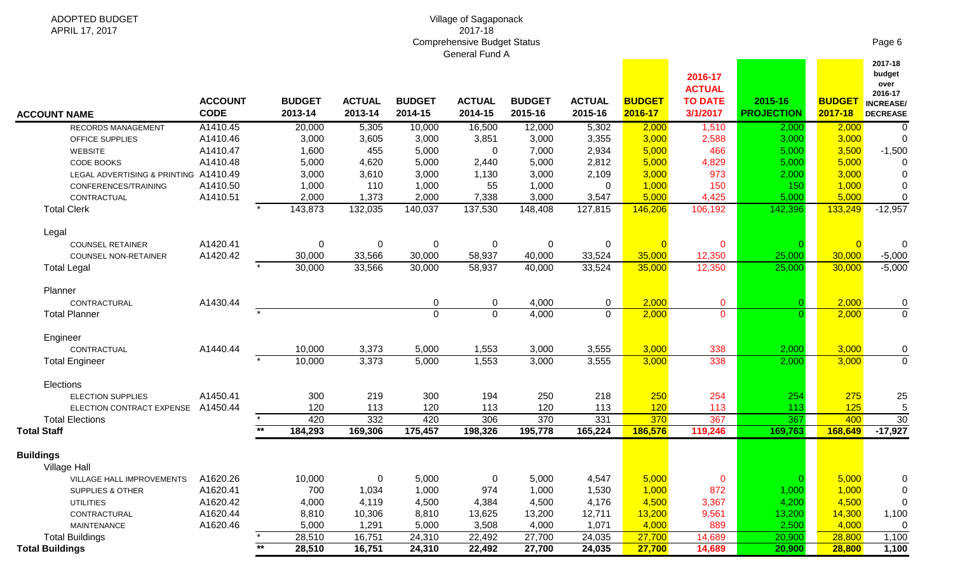| ADOPTED BUDGET<br>APRIL 17, 2017      |                               |              |                          |                          |                          | Village of Sagaponack<br>2017-18   |                          |                          |                          |                            |                              |                          |                                      |
|---------------------------------------|-------------------------------|--------------|--------------------------|--------------------------|--------------------------|------------------------------------|--------------------------|--------------------------|--------------------------|----------------------------|------------------------------|--------------------------|--------------------------------------|
|                                       |                               |              |                          |                          |                          | <b>Comprehensive Budget Status</b> |                          |                          |                          |                            |                              |                          | Page 6                               |
|                                       |                               |              |                          |                          |                          | General Fund A                     |                          |                          |                          | 2016-17<br><b>ACTUAL</b>   |                              |                          | 2017-18<br>budget<br>over<br>2016-17 |
| <b>ACCOUNT NAME</b>                   | <b>ACCOUNT</b><br><b>CODE</b> |              | <b>BUDGET</b><br>2013-14 | <b>ACTUAL</b><br>2013-14 | <b>BUDGET</b><br>2014-15 | <b>ACTUAL</b><br>2014-15           | <b>BUDGET</b><br>2015-16 | <b>ACTUAL</b><br>2015-16 | <b>BUDGET</b><br>2016-17 | <b>TO DATE</b><br>3/1/2017 | 2015-16<br><b>PROJECTION</b> | <b>BUDGET</b><br>2017-18 | <b>INCREASE/</b><br><b>DECREASE</b>  |
| RECORDS MANAGEMENT                    | A1410.45                      |              | 20,000                   | 5,305                    | 10,000                   | 16,500                             | 12,000                   | 5,302                    | 2,000                    | 1,510                      | 2,000                        | 2,000                    | 0                                    |
| OFFICE SUPPLIES                       | A1410.46                      |              | 3,000                    | 3,605                    | 3,000                    | 3,851                              | 3,000                    | 3,355                    | 3,000                    | 2,588                      | 3,000                        | 3,000                    | $\overline{0}$                       |
| <b>WEBSITE</b>                        | A1410.47                      |              | 1,600                    | 455                      | 5,000                    | 0                                  | 7,000                    | 2,934                    | 5,000                    | 466                        | 5,000                        | 3,500                    | $-1,500$                             |
| <b>CODE BOOKS</b>                     | A1410.48                      |              | 5,000                    | 4,620                    | 5,000                    | 2,440                              | 5,000                    | 2,812                    | 5,000                    | 4,829                      | 5,000                        | 5,000                    | 0                                    |
| LEGAL ADVERTISING & PRINTING A1410.49 |                               |              | 3,000                    | 3,610                    | 3,000                    | 1,130                              | 3,000                    | 2,109                    | 3,000                    | 973                        | 2,000                        | 3,000                    | 0                                    |
| CONFERENCES/TRAINING                  | A1410.50                      |              | 1,000                    | 110                      | 1,000                    | 55                                 | 1,000                    | 0                        | 1,000                    | 150                        | 150                          | 1,000                    | 0                                    |
| CONTRACTUAL                           | A1410.51                      |              | 2,000                    | 1,373                    | 2,000                    | 7,338                              | 3,000                    | 3,547                    | 5,000                    | 4,425                      | 5,000                        | 5,000                    | 0                                    |
| <b>Total Clerk</b>                    |                               | $\star$      | 143,873                  | 132,035                  | 140,037                  | 137,530                            | 148,408                  | 127,815                  | 146,206                  | 106,192                    | 142,396                      | 133,249                  | $-12,957$                            |
| Legal                                 |                               |              |                          |                          |                          |                                    |                          |                          |                          |                            |                              |                          |                                      |
| <b>COUNSEL RETAINER</b>               | A1420.41                      |              | 0                        | 0                        | 0                        | 0                                  | 0                        | $\mathbf 0$              | $\overline{0}$           | 0                          |                              | $\overline{0}$           | 0                                    |
| <b>COUNSEL NON-RETAINER</b>           | A1420.42                      |              | 30,000                   | 33,566                   | 30,000                   | 58,937                             | 40,000                   | 33,524                   | 35,000                   | 12,350                     | 25,000                       | 30,000                   | $-5,000$                             |
| <b>Total Legal</b>                    |                               |              | 30,000                   | 33,566                   | 30,000                   | 58,937                             | 40,000                   | 33,524                   | 35,000                   | 12,350                     | 25,000                       | 30,000                   | $-5,000$                             |
| Planner                               |                               |              |                          |                          |                          |                                    |                          |                          |                          |                            |                              |                          |                                      |
| CONTRACTURAL                          | A1430.44                      |              |                          |                          | $\mathbf 0$              | $\pmb{0}$                          | 4,000                    | 0                        | 2,000                    | $\mathbf 0$                |                              | 2,000                    | 0                                    |
| <b>Total Planner</b>                  |                               |              |                          |                          | $\Omega$                 | $\overline{0}$                     | 4,000                    | $\Omega$                 | 2,000                    | $\mathbf 0$                |                              | 2,000                    | $\overline{0}$                       |
| Engineer                              |                               |              |                          |                          |                          |                                    |                          |                          |                          |                            |                              |                          |                                      |
| CONTRACTUAL                           | A1440.44                      |              | 10,000                   | 3,373                    | 5,000                    | 1,553                              | 3,000                    | 3,555                    | 3,000                    | 338                        | 2,000                        | 3,000                    | 0                                    |
| <b>Total Engineer</b>                 |                               |              | 10,000                   | 3,373                    | 5,000                    | 1,553                              | 3,000                    | 3,555                    | 3,000                    | 338                        | 2,000                        | 3,000                    | $\overline{0}$                       |
| Elections                             |                               |              |                          |                          |                          |                                    |                          |                          |                          |                            |                              |                          |                                      |
| <b>ELECTION SUPPLIES</b>              | A1450.41                      |              | 300                      | 219                      | 300                      | 194                                | 250                      | 218                      | 250                      | 254                        | 254                          | 275                      | 25                                   |
| ELECTION CONTRACT EXPENSE             | A1450.44                      |              | 120                      | 113                      | 120                      | 113                                | 120                      | 113                      | 120                      | 113                        | 113                          | 125                      | $\sqrt{5}$                           |
| <b>Total Elections</b>                |                               |              | 420                      | 332                      | 420                      | 306                                | 370                      | 331                      | 370                      | 367                        | 367                          | 400                      | 30                                   |
| <b>Total Staff</b>                    |                               | $\star\star$ | 184,293                  | 169,306                  | 175,457                  | 198,326                            | 195,778                  | 165,224                  | 186,576                  | 119,246                    | 169,763                      | 168,649                  | $-17,927$                            |
| <b>Buildings</b>                      |                               |              |                          |                          |                          |                                    |                          |                          |                          |                            |                              |                          |                                      |
| Village Hall                          |                               |              |                          |                          |                          |                                    |                          |                          |                          |                            |                              |                          |                                      |
| VILLAGE HALL IMPROVEMENTS             | A1620.26                      |              | 10,000                   | $\mathbf 0$              | 5,000                    | 0                                  | 5,000                    | 4,547                    | 5,000                    | $\mathbf 0$                | $\overline{0}$               | 5,000                    | 0                                    |
| SUPPLIES & OTHER                      | A1620.41                      |              | 700                      | 1,034                    | 1,000                    | 974                                | 1,000                    | 1,530                    | 1,000                    | 872                        | 1,000                        | 1,000                    | 0                                    |
| <b>UTILITIES</b>                      | A1620.42                      |              | 4,000                    | 4,119                    | 4,500                    | 4,384                              | 4,500                    | 4,176                    | 4,500                    | 3,367                      | 4,200                        | 4,500                    | 0                                    |
| CONTRACTURAL                          | A1620.44                      |              | 8,810                    | 10,306                   | 8,810                    | 13,625                             | 13,200                   | 12,711                   | 13,200                   | 9,561                      | 13,200                       | 14,300                   | 1,100                                |
| <b>MAINTENANCE</b>                    | A1620.46                      |              | 5,000                    | 1,291                    | 5,000                    | 3,508                              | 4,000                    | 1,071                    | 4,000                    | 889                        | 2,500                        | 4,000                    | 0                                    |
| <b>Total Buildings</b>                |                               |              | 28,510                   | 16,751                   | 24,310                   | 22,492                             | 27,700                   | 24,035                   | 27,700                   | 14,689                     | 20,900                       | 28,800                   | 1,100                                |
| <b>Total Buildings</b>                |                               | $*$          | 28,510                   | 16,751                   | 24,310                   | 22,492                             | 27,700                   | 24,035                   | 27,700                   | 14,689                     | 20,900                       | 28,800                   | 1,100                                |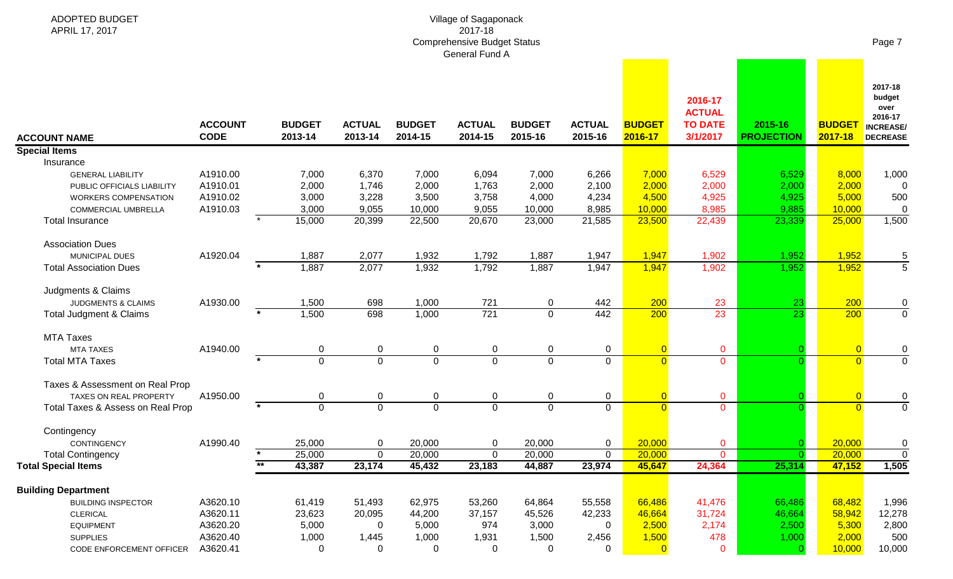| ADOPTED BUDGET<br>APRIL 17, 2017  |                               |                          |                          |                          | Village of Sagaponack<br>2017-18<br><b>Comprehensive Budget Status</b><br>General Fund A |                          |                          |                          |                                                        |                              |                          | Page 7                                                                      |
|-----------------------------------|-------------------------------|--------------------------|--------------------------|--------------------------|------------------------------------------------------------------------------------------|--------------------------|--------------------------|--------------------------|--------------------------------------------------------|------------------------------|--------------------------|-----------------------------------------------------------------------------|
| <b>ACCOUNT NAME</b>               | <b>ACCOUNT</b><br><b>CODE</b> | <b>BUDGET</b><br>2013-14 | <b>ACTUAL</b><br>2013-14 | <b>BUDGET</b><br>2014-15 | <b>ACTUAL</b><br>2014-15                                                                 | <b>BUDGET</b><br>2015-16 | <b>ACTUAL</b><br>2015-16 | <b>BUDGET</b><br>2016-17 | 2016-17<br><b>ACTUAL</b><br><b>TO DATE</b><br>3/1/2017 | 2015-16<br><b>PROJECTION</b> | <b>BUDGET</b><br>2017-18 | 2017-18<br>budget<br>over<br>2016-17<br><b>INCREASE/</b><br><b>DECREASE</b> |
| <b>Special Items</b>              |                               |                          |                          |                          |                                                                                          |                          |                          |                          |                                                        |                              |                          |                                                                             |
| Insurance                         |                               |                          |                          |                          |                                                                                          |                          |                          |                          |                                                        |                              |                          |                                                                             |
| <b>GENERAL LIABILITY</b>          | A1910.00                      | 7,000                    | 6,370                    | 7,000                    | 6,094                                                                                    | 7,000                    | 6,266                    | 7,000                    | 6,529                                                  | 6,529                        | 8,000                    | 1,000                                                                       |
| PUBLIC OFFICIALS LIABILITY        | A1910.01                      | 2,000                    | 1,746                    | 2,000                    | 1,763                                                                                    | 2,000                    | 2,100                    | 2,000                    | 2,000                                                  | 2,000                        | 2,000                    | 0                                                                           |
| <b>WORKERS COMPENSATION</b>       | A1910.02                      | 3,000                    | 3,228                    | 3,500                    | 3,758                                                                                    | 4,000                    | 4,234                    | 4,500                    | 4,925                                                  | 4,925                        | 5,000                    | 500                                                                         |
| COMMERCIAL UMBRELLA               | A1910.03                      | 3,000                    | 9,055                    | 10,000                   | 9,055                                                                                    | 10,000                   | 8,985                    | 10,000                   | 8,985                                                  | 9,885                        | 10,000                   | 0                                                                           |
| <b>Total Insurance</b>            |                               | 15,000                   | 20,399                   | 22,500                   | 20,670                                                                                   | 23,000                   | 21,585                   | 23,500                   | 22,439                                                 | 23,339                       | 25,000                   | 1,500                                                                       |
| <b>Association Dues</b>           |                               |                          |                          |                          |                                                                                          |                          |                          |                          |                                                        |                              |                          |                                                                             |
| MUNICIPAL DUES                    | A1920.04                      | 1,887                    | 2,077                    | 1,932                    | 1,792                                                                                    | 1,887                    | 1,947                    | 1,947                    | 1,902                                                  | 1,952                        | 1,952                    | 5                                                                           |
| <b>Total Association Dues</b>     |                               | 1,887                    | 2,077                    | 1,932                    | 1,792                                                                                    | 1,887                    | 1,947                    | 1,947                    | 1,902                                                  | 1,952                        | 1,952                    | $\overline{5}$                                                              |
| Judgments & Claims                |                               |                          |                          |                          |                                                                                          |                          |                          |                          |                                                        |                              |                          |                                                                             |
| JUDGMENTS & CLAIMS                | A1930.00                      | 1,500                    | 698                      | 1,000                    | 721                                                                                      | 0                        | 442                      | 200                      | 23                                                     | 23                           | 200                      | 0                                                                           |
| Total Judgment & Claims           |                               | 1,500                    | 698                      | 1,000                    | $\overline{721}$                                                                         | $\Omega$                 | 442                      | 200                      | 23                                                     | $\overline{23}$              | 200                      | $\mathbf 0$                                                                 |
| <b>MTA Taxes</b>                  |                               |                          |                          |                          |                                                                                          |                          |                          |                          |                                                        |                              |                          |                                                                             |
| <b>MTA TAXES</b>                  | A1940.00                      | 0                        | 0                        | 0                        | 0                                                                                        | 0                        | $\mathbf 0$              | $\overline{0}$           | $\mathbf 0$                                            |                              | $\overline{0}$           | 0                                                                           |
| <b>Total MTA Taxes</b>            |                               | $\overline{0}$           | $\overline{0}$           | $\overline{0}$           | $\overline{0}$                                                                           | $\Omega$                 | $\mathbf 0$              | $\overline{0}$           | $\Omega$                                               |                              | $\Omega$                 | $\mathbf 0$                                                                 |
| Taxes & Assessment on Real Prop   |                               |                          |                          |                          |                                                                                          |                          |                          |                          |                                                        |                              |                          |                                                                             |
| <b>TAXES ON REAL PROPERTY</b>     | A1950.00                      | 0                        | 0                        | 0                        | 0                                                                                        | 0                        | $\mathbf 0$              | $\overline{0}$           | $\mathbf{0}$                                           |                              | $\overline{0}$           | $\mathbf 0$                                                                 |
| Total Taxes & Assess on Real Prop |                               | $\mathbf 0$              | $\mathbf 0$              | $\mathbf 0$              | $\mathbf 0$                                                                              | $\mathbf 0$              | $\mathbf 0$              | $\overline{0}$           | $\overline{0}$                                         |                              | $\Omega$                 | $\mathbf 0$                                                                 |
| Contingency                       |                               |                          |                          |                          |                                                                                          |                          |                          |                          |                                                        |                              |                          |                                                                             |
| CONTINGENCY                       | A1990.40                      | 25,000                   | $\boldsymbol{0}$         | 20,000                   | 0                                                                                        | 20,000                   | 0                        | 20,000                   | $\mathbf 0$                                            |                              | 20,000                   | 0                                                                           |
| <b>Total Contingency</b>          |                               | 25,000                   | $\mathbf 0$              | 20,000                   | $\mathbf 0$                                                                              | 20,000                   | 0                        | 20,000                   | $\overline{0}$                                         |                              | 20,000                   | $\mathbf 0$                                                                 |
| <b>Total Special Items</b>        |                               | $***$<br>43,387          | 23,174                   | 45,432                   | 23,183                                                                                   | 44,887                   | 23,974                   | 45,647                   | 24,364                                                 | 25,314                       | 47,152                   | 1,505                                                                       |
| <b>Building Department</b>        |                               |                          |                          |                          |                                                                                          |                          |                          |                          |                                                        |                              |                          |                                                                             |
| <b>BUILDING INSPECTOR</b>         | A3620.10                      | 61,419                   | 51,493                   | 62,975                   | 53,260                                                                                   | 64,864                   | 55,558                   | 66,486                   | 41,476                                                 | 66,486                       | 68,482                   | 1,996                                                                       |
| <b>CLERICAL</b>                   | A3620.11                      | 23,623                   | 20,095                   | 44,200                   | 37,157                                                                                   | 45,526                   | 42,233                   | 46,664                   | 31,724                                                 | 46,664                       | 58,942                   | 12,278                                                                      |
| <b>EQUIPMENT</b>                  | A3620.20                      | 5,000                    | 0                        | 5,000                    | 974                                                                                      | 3,000                    | $\Omega$                 | 2,500                    | 2,174                                                  | 2,500                        | 5,300                    | 2,800                                                                       |
| <b>SUPPLIES</b>                   | A3620.40                      | 1,000                    | 1,445                    | 1,000                    | 1,931                                                                                    | 1,500                    | 2,456                    | 1,500                    | 478                                                    | 1,000                        | 2,000                    | 500                                                                         |
| CODE ENFORCEMENT OFFICER          | A3620.41                      | 0                        | 0                        | 0                        | $\mathbf 0$                                                                              | 0                        | 0                        | $\overline{0}$           | $\mathbf{0}$                                           | $\Omega$                     | 10,000                   | 10,000                                                                      |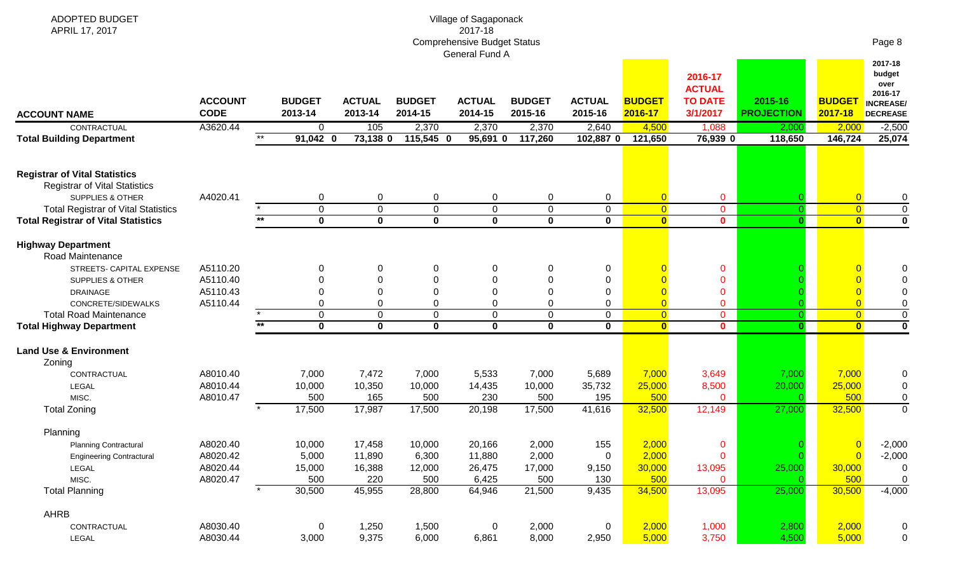| ADOPTED BUDGET<br>APRIL 17, 2017                                                                            |                               |       |                          |                          |                          | Village of Sagaponack<br>2017-18<br><b>Comprehensive Budget Status</b> |                          |                          |                          |                                                        |                              |                          | Page 8                                                                      |
|-------------------------------------------------------------------------------------------------------------|-------------------------------|-------|--------------------------|--------------------------|--------------------------|------------------------------------------------------------------------|--------------------------|--------------------------|--------------------------|--------------------------------------------------------|------------------------------|--------------------------|-----------------------------------------------------------------------------|
| <b>ACCOUNT NAME</b>                                                                                         | <b>ACCOUNT</b><br><b>CODE</b> |       | <b>BUDGET</b><br>2013-14 | <b>ACTUAL</b><br>2013-14 | <b>BUDGET</b><br>2014-15 | General Fund A<br><b>ACTUAL</b><br>2014-15                             | <b>BUDGET</b><br>2015-16 | <b>ACTUAL</b><br>2015-16 | <b>BUDGET</b><br>2016-17 | 2016-17<br><b>ACTUAL</b><br><b>TO DATE</b><br>3/1/2017 | 2015-16<br><b>PROJECTION</b> | <b>BUDGET</b><br>2017-18 | 2017-18<br>budget<br>over<br>2016-17<br><b>INCREASE/</b><br><b>DECREASE</b> |
| CONTRACTUAL                                                                                                 | A3620.44                      |       | 0                        | 105                      | 2,370                    | 2,370                                                                  | 2,370                    | 2,640                    | 4,500                    | 1,088                                                  | 2,000                        | 2,000                    | $-2,500$                                                                    |
| <b>Total Building Department</b>                                                                            |                               | $***$ | $91,042$ 0               | $73,138$ 0               | $115,545$ 0              | 95,691 0                                                               | 117,260                  | 102,887 0                | 121,650                  | 76,939 0                                               | 118,650                      | 146,724                  | 25,074                                                                      |
| <b>Registrar of Vital Statistics</b><br><b>Registrar of Vital Statistics</b><br><b>SUPPLIES &amp; OTHER</b> | A4020.41                      |       | 0                        | $\mathbf 0$              | 0                        | 0                                                                      | 0                        | $\mathbf 0$              | $\overline{0}$           | $\mathbf 0$                                            |                              | $\overline{0}$           | 0                                                                           |
| <b>Total Registrar of Vital Statistics</b>                                                                  |                               |       | $\mathbf 0$              | $\mathbf 0$              | $\mathbf 0$              | $\mathbf 0$                                                            | $\mathbf 0$              | $\mathbf 0$              | $\overline{0}$           | $\overline{0}$                                         |                              | $\overline{0}$           | $\pmb{0}$                                                                   |
| <b>Total Registrar of Vital Statistics</b>                                                                  |                               | $***$ | $\overline{\mathbf{0}}$  | $\overline{\mathbf{0}}$  | $\overline{\mathbf{0}}$  | $\overline{\mathbf{0}}$                                                | $\mathbf 0$              | 0                        | $\overline{\mathbf{0}}$  | $\mathbf{0}$                                           | $\mathbf{0}$                 | $\overline{\mathbf{0}}$  | $\overline{\mathbf{0}}$                                                     |
| <b>Highway Department</b><br>Road Maintenance                                                               |                               |       |                          |                          |                          |                                                                        |                          |                          |                          |                                                        |                              |                          |                                                                             |
| STREETS- CAPITAL EXPENSE                                                                                    | A5110.20                      |       | 0                        | $\mathbf 0$              | 0                        | 0                                                                      | 0                        | 0                        |                          | $\mathbf 0$                                            |                              |                          |                                                                             |
| SUPPLIES & OTHER                                                                                            | A5110.40                      |       |                          | 0                        | $\Omega$                 | 0                                                                      | 0                        | 0                        |                          | $\mathbf{0}$                                           |                              |                          |                                                                             |
| <b>DRAINAGE</b>                                                                                             | A5110.43                      |       |                          | 0                        | $\Omega$                 | 0                                                                      | 0                        | 0                        | $\overline{0}$           | $\mathbf{0}$                                           |                              |                          | 0                                                                           |
| CONCRETE/SIDEWALKS                                                                                          | A5110.44                      |       | 0                        | $\mathbf 0$              | $\Omega$                 | 0                                                                      | $\mathbf 0$              | 0                        | $\overline{0}$           | $\overline{0}$                                         |                              | $\overline{0}$           | $\pmb{0}$                                                                   |
| <b>Total Road Maintenance</b>                                                                               |                               |       | 0                        | $\mathbf 0$              | 0                        | $\mathbf 0$                                                            | $\mathbf 0$              | 0                        | $\overline{0}$           | $\mathbf{0}$                                           | $\Omega$                     | $\overline{0}$           | $\overline{0}$                                                              |
| <b>Total Highway Department</b>                                                                             |                               | $***$ | $\bf{0}$                 | $\mathbf 0$              | $\bf{0}$                 | $\mathbf 0$                                                            | $\mathbf{0}$             | $\mathbf{0}$             | $\bullet$                | $\mathbf{0}$                                           |                              | $\mathbf{0}$             | $\mathbf 0$                                                                 |
| <b>Land Use &amp; Environment</b><br>Zoning                                                                 |                               |       |                          |                          |                          |                                                                        |                          |                          |                          |                                                        |                              |                          |                                                                             |
| CONTRACTUAL                                                                                                 | A8010.40                      |       | 7,000                    | 7,472                    | 7,000                    | 5,533                                                                  | 7,000                    | 5,689                    | 7,000                    | 3,649                                                  | 7,000                        | 7,000                    | 0                                                                           |
| LEGAL                                                                                                       | A8010.44                      |       | 10,000                   | 10,350                   | 10,000                   | 14,435                                                                 | 10,000                   | 35,732                   | 25,000                   | 8,500                                                  | 20,000                       | 25,000                   | 0                                                                           |
| MISC.                                                                                                       | A8010.47                      |       | 500                      | 165                      | 500                      | 230                                                                    | 500                      | 195                      | 500                      | $\mathbf{0}$                                           |                              | 500                      | $\mathbf 0$                                                                 |
| <b>Total Zoning</b>                                                                                         |                               |       | 17,500                   | 17,987                   | 17,500                   | 20,198                                                                 | 17,500                   | 41,616                   | 32,500                   | 12,149                                                 | 27,000                       | 32,500                   | $\pmb{0}$                                                                   |
| Planning                                                                                                    |                               |       |                          |                          |                          |                                                                        |                          |                          |                          |                                                        |                              |                          |                                                                             |
| <b>Planning Contractural</b>                                                                                | A8020.40                      |       | 10,000                   | 17,458                   | 10,000                   | 20,166                                                                 | 2,000                    | 155                      | 2,000                    | $\mathbf 0$                                            |                              | $\mathbf{0}$             | $-2,000$                                                                    |
| <b>Engineering Contractural</b>                                                                             | A8020.42                      |       | 5,000                    | 11,890                   | 6,300                    | 11,880                                                                 | 2,000                    | $\mathbf 0$              | 2,000                    | $\mathbf 0$                                            |                              | $\overline{0}$           | $-2,000$                                                                    |
| LEGAL                                                                                                       | A8020.44                      |       | 15,000                   | 16,388                   | 12,000                   | 26,475                                                                 | 17,000                   | 9,150                    | 30,000                   | 13,095                                                 | 25,000                       | 30,000                   | $\mathbf 0$                                                                 |
| MISC.                                                                                                       | A8020.47                      |       | 500                      | 220                      | 500                      | 6,425                                                                  | 500                      | 130                      | 500                      | $\mathbf{0}$                                           |                              | 500                      | $\mathbf 0$                                                                 |
| <b>Total Planning</b>                                                                                       |                               |       | 30,500                   | 45,955                   | 28,800                   | 64,946                                                                 | 21,500                   | 9,435                    | 34,500                   | 13,095                                                 | 25,000                       | 30,500                   | $-4,000$                                                                    |
| <b>AHRB</b>                                                                                                 |                               |       |                          |                          |                          |                                                                        |                          |                          |                          |                                                        |                              |                          |                                                                             |
| CONTRACTUAL                                                                                                 | A8030.40                      |       | $\mathbf 0$              | 1,250                    | 1,500                    | $\mathbf 0$                                                            | 2,000                    | $\mathbf 0$              | 2,000                    | 1,000                                                  | 2,800                        | 2,000                    | $\pmb{0}$                                                                   |
| LEGAL                                                                                                       | A8030.44                      |       | 3,000                    | 9,375                    | 6,000                    | 6,861                                                                  | 8,000                    | 2,950                    | 5,000                    | 3,750                                                  | 4,500                        | 5,000                    | $\pmb{0}$                                                                   |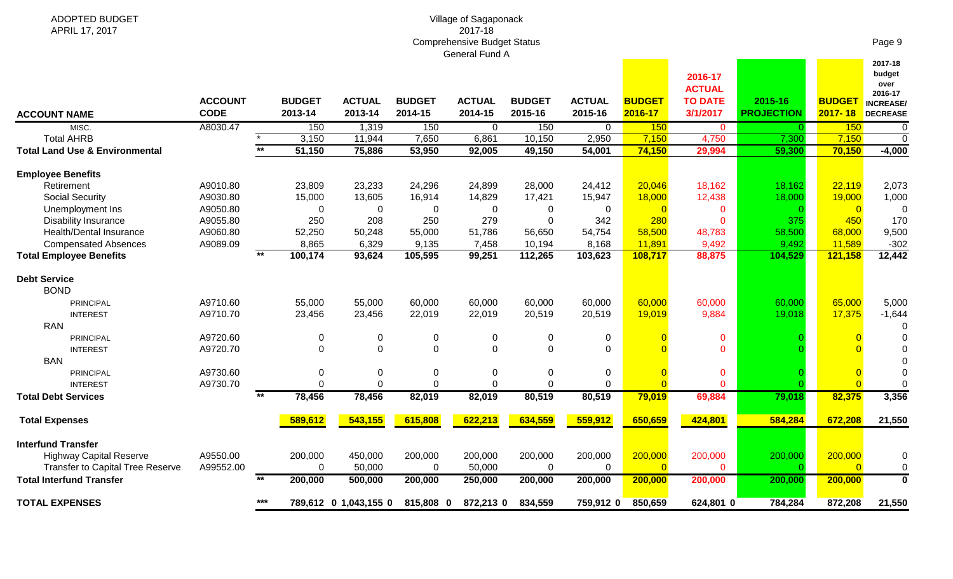| ADOPTED BUDGET<br>APRIL 17, 2017                                                                       |                               |       |                          |                          |                           | Village of Sagaponack<br>2017-18                     |                          |                          |                           |                                                        |                              |                              |                                                                             |
|--------------------------------------------------------------------------------------------------------|-------------------------------|-------|--------------------------|--------------------------|---------------------------|------------------------------------------------------|--------------------------|--------------------------|---------------------------|--------------------------------------------------------|------------------------------|------------------------------|-----------------------------------------------------------------------------|
|                                                                                                        |                               |       |                          |                          |                           | <b>Comprehensive Budget Status</b><br>General Fund A |                          |                          |                           |                                                        |                              |                              | Page 9                                                                      |
| <b>ACCOUNT NAME</b>                                                                                    | <b>ACCOUNT</b><br><b>CODE</b> |       | <b>BUDGET</b><br>2013-14 | <b>ACTUAL</b><br>2013-14 | <b>BUDGET</b><br>2014-15  | <b>ACTUAL</b><br>2014-15                             | <b>BUDGET</b><br>2015-16 | <b>ACTUAL</b><br>2015-16 | <b>BUDGET</b><br>2016-17  | 2016-17<br><b>ACTUAL</b><br><b>TO DATE</b><br>3/1/2017 | 2015-16<br><b>PROJECTION</b> | <b>BUDGET</b><br>$2017 - 18$ | 2017-18<br>budget<br>over<br>2016-17<br><b>INCREASE/</b><br><b>DECREASE</b> |
| MISC.                                                                                                  | A8030.47                      |       | 150                      | 1,319                    | 150                       | 0                                                    | 150                      | 0                        | 150                       | $\mathbf{0}$                                           |                              | 150                          | 0                                                                           |
| <b>Total AHRB</b>                                                                                      |                               | $***$ | 3,150                    | 11,944                   | 7,650                     | 6,861                                                | 10,150                   | 2,950                    | 7,150                     | 4,750                                                  | 7,300                        | 7,150                        | $\mathbf 0$                                                                 |
| <b>Total Land Use &amp; Environmental</b>                                                              |                               |       | 51,150                   | 75,886                   | 53,950                    | 92,005                                               | 49,150                   | 54,001                   | 74,150                    | 29,994                                                 | 59,300                       | 70,150                       | $-4,000$                                                                    |
| <b>Employee Benefits</b>                                                                               |                               |       |                          |                          |                           |                                                      |                          |                          |                           |                                                        |                              |                              |                                                                             |
| Retirement                                                                                             | A9010.80                      |       | 23,809                   | 23,233                   | 24,296                    | 24,899                                               | 28,000                   | 24,412                   | 20,046                    | 18,162                                                 | 18,162                       | 22,119                       | 2,073                                                                       |
| <b>Social Security</b>                                                                                 | A9030.80                      |       | 15,000                   | 13,605                   | 16,914                    | 14,829                                               | 17,421                   | 15,947                   | 18,000                    | 12,438                                                 | 18,000                       | 19,000                       | 1,000                                                                       |
| Unemployment Ins                                                                                       | A9050.80                      |       | 0                        | 0                        | 0                         | 0                                                    | 0                        | 0                        | $\Omega$                  | $\mathbf{0}$                                           |                              | $\overline{0}$               | $\mathbf 0$                                                                 |
| <b>Disability Insurance</b>                                                                            | A9055.80                      |       | 250                      | 208                      | 250                       | 279                                                  | $\Omega$                 | 342                      | 280                       | $\Omega$                                               | 375                          | 450                          | 170                                                                         |
| Health/Dental Insurance                                                                                | A9060.80                      |       | 52,250                   | 50,248                   | 55,000                    | 51,786                                               | 56,650                   | 54,754                   | 58,500                    | 48,783                                                 | 58,500                       | 68,000                       | 9,500                                                                       |
| <b>Compensated Absences</b>                                                                            | A9089.09                      |       | 8,865                    | 6,329                    | 9,135                     | 7,458                                                | 10,194                   | 8,168                    | 11,891                    | 9,492                                                  | 9,492                        | 11,589                       | $-302$                                                                      |
| <b>Total Employee Benefits</b>                                                                         |                               | $***$ | 100,174                  | 93,624                   | 105,595                   | 99,251                                               | 112,265                  | 103,623                  | 108,717                   | 88,875                                                 | 104,529                      | 121,158                      | 12,442                                                                      |
| <b>Debt Service</b><br><b>BOND</b>                                                                     |                               |       |                          |                          |                           |                                                      |                          |                          |                           |                                                        |                              |                              |                                                                             |
| PRINCIPAL                                                                                              | A9710.60                      |       | 55,000                   | 55,000                   | 60,000                    | 60,000                                               | 60,000                   | 60,000                   | 60,000                    | 60,000                                                 | 60,000                       | 65,000                       | 5,000                                                                       |
| <b>INTEREST</b>                                                                                        | A9710.70                      |       | 23,456                   | 23,456                   | 22,019                    | 22,019                                               | 20,519                   | 20,519                   | 19,019                    | 9,884                                                  | 19,018                       | 17,375                       | $-1,644$                                                                    |
| <b>RAN</b>                                                                                             |                               |       |                          |                          |                           |                                                      |                          |                          |                           |                                                        |                              |                              | $\Omega$                                                                    |
| PRINCIPAL                                                                                              | A9720.60                      |       | $\mathbf 0$              | 0                        | 0                         | 0                                                    | 0                        | 0                        |                           | 0                                                      |                              |                              | ∩                                                                           |
| <b>INTEREST</b>                                                                                        | A9720.70                      |       | 0                        | 0                        | $\overline{0}$            | $\mathbf 0$                                          | $\Omega$                 | $\Omega$                 |                           | $\Omega$                                               |                              |                              |                                                                             |
| <b>BAN</b>                                                                                             |                               |       |                          |                          |                           |                                                      |                          |                          |                           |                                                        |                              |                              | $\Omega$                                                                    |
| PRINCIPAL                                                                                              | A9730.60                      |       | 0                        | 0                        | 0                         | 0                                                    | $\mathbf 0$              | 0                        |                           | $\mathbf 0$                                            |                              |                              | 0                                                                           |
| <b>INTEREST</b>                                                                                        | A9730.70                      | $***$ | $\Omega$                 | 0                        | $\overline{0}$            | $\overline{0}$                                       | $\mathbf 0$              | $\Omega$                 | $\overline{0}$            | $\mathbf{0}$                                           |                              |                              | $\Omega$                                                                    |
| <b>Total Debt Services</b>                                                                             |                               |       | 78,456                   | 78,456                   | 82,019                    | 82,019                                               | 80,519                   | 80,519                   | 79,019                    | 69,884                                                 | 79,018                       | 82,375                       | 3,356                                                                       |
| <b>Total Expenses</b>                                                                                  |                               |       | 589,612                  | 543,155                  | 615,808                   | 622,213                                              | 634,559                  | 559,912                  | 650,659                   | 424,801                                                | 584,284                      | 672,208                      | 21,550                                                                      |
| <b>Interfund Transfer</b><br><b>Highway Capital Reserve</b><br><b>Transfer to Capital Tree Reserve</b> | A9550.00<br>A99552.00         |       | 200,000<br>0             | 450,000<br>50,000        | 200,000<br>$\overline{0}$ | 200,000<br>50,000                                    | 200,000<br>$\mathbf 0$   | 200,000<br>0             | 200,000<br>$\overline{0}$ | 200,000<br>$\mathbf{0}$                                | 200,000                      | 200,000<br>$\Omega$          | 0<br>0                                                                      |
| <b>Total Interfund Transfer</b>                                                                        |                               | $***$ | 200,000                  | 500,000                  | 200,000                   | 250,000                                              | 200,000                  | 200,000                  | 200,000                   | 200,000                                                | 200,000                      | 200,000                      | $\mathbf 0$                                                                 |
| <b>TOTAL EXPENSES</b>                                                                                  |                               | ***   |                          | 789,612 0 1,043,155 0    | 815,808 0                 |                                                      | 872,213 0 834,559        | 759,912 0                | 850,659                   | 624,801 0                                              | 784,284                      | 872,208                      | 21,550                                                                      |